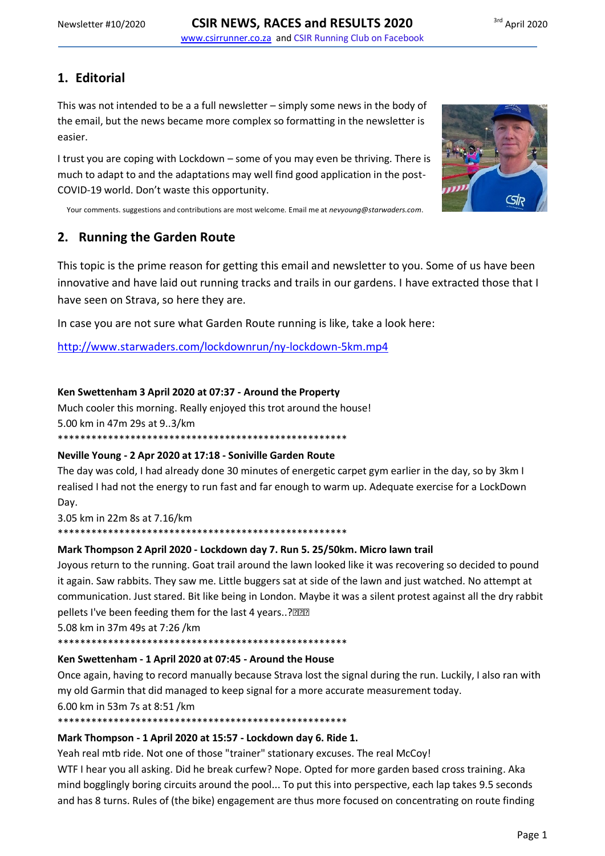# 1. Editorial

This was not intended to be a a full newsletter  $-$  simply some news in the body of the email, but the news became more complex so formatting in the newsletter is easier.

I trust you are coping with Lockdown - some of you may even be thriving. There is much to adapt to and the adaptations may well find good application in the post-COVID-19 world. Don't waste this opportunity.



Your comments. suggestions and contributions are most welcome. Email me at nevyoung@starwaders.com.

# 2. Running the Garden Route

This topic is the prime reason for getting this email and newsletter to you. Some of us have been innovative and have laid out running tracks and trails in our gardens. I have extracted those that I have seen on Strava, so here they are.

In case you are not sure what Garden Route running is like, take a look here:

http://www.starwaders.com/lockdownrun/ny-lockdown-5km.mp4

## Ken Swettenham 3 April 2020 at 07:37 - Around the Property

Much cooler this morning. Really enjoyed this trot around the house!

5.00 km in 47m 29s at 9..3/km

\*\*\*\*\*\*\*\*\*\*\*\*\*\*\*\*\*\*\* \*\*\*\*\*\*\*\*\*\*\*\*\*\*\*\*\*\*\*\*\*\*\*\*\*\*\*\*

### Neville Young - 2 Apr 2020 at 17:18 - Soniville Garden Route

The day was cold, I had already done 30 minutes of energetic carpet gym earlier in the day, so by 3km I realised I had not the energy to run fast and far enough to warm up. Adequate exercise for a LockDown Day.

3.05 km in 22m 8s at 7.16/km 

## Mark Thompson 2 April 2020 - Lockdown day 7. Run 5. 25/50km. Micro lawn trail

Joyous return to the running. Goat trail around the lawn looked like it was recovering so decided to pound it again. Saw rabbits. They saw me. Little buggers sat at side of the lawn and just watched. No attempt at communication. Just stared. Bit like being in London. Maybe it was a silent protest against all the dry rabbit pellets I've been feeding them for the last 4 years..?

5.08 km in 37m 49s at 7:26 /km

### Ken Swettenham - 1 April 2020 at 07:45 - Around the House

Once again, having to record manually because Strava lost the signal during the run. Luckily, I also ran with my old Garmin that did managed to keep signal for a more accurate measurement today.

6.00 km in 53m 7s at 8:51 /km

### Mark Thompson - 1 April 2020 at 15:57 - Lockdown day 6. Ride 1.

Yeah real mtb ride. Not one of those "trainer" stationary excuses. The real McCoy!

WTF I hear you all asking. Did he break curfew? Nope. Opted for more garden based cross training. Aka mind bogglingly boring circuits around the pool... To put this into perspective, each lap takes 9.5 seconds and has 8 turns. Rules of (the bike) engagement are thus more focused on concentrating on route finding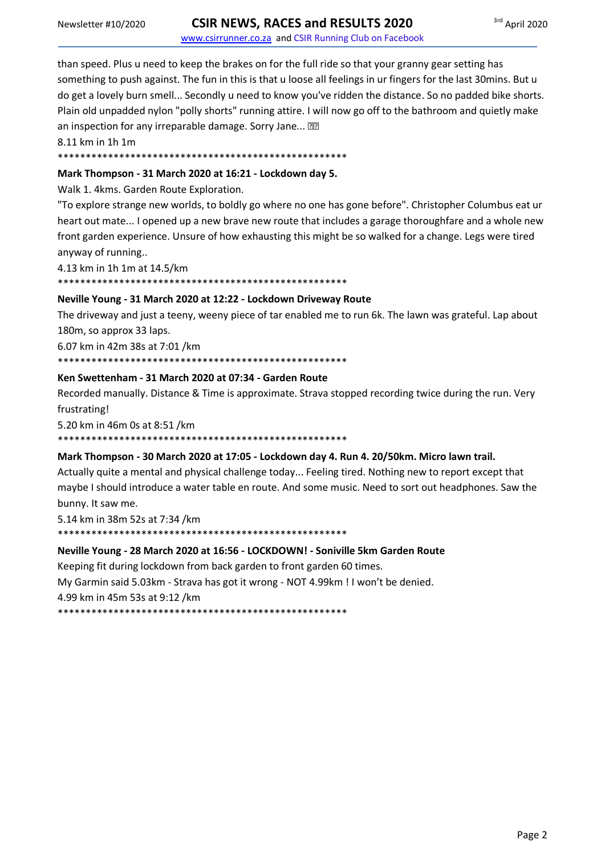www.csirrunner.co.za and CSIR Running Club on Facebook

than speed. Plus u need to keep the brakes on for the full ride so that your granny gear setting has something to push against. The fun in this is that u loose all feelings in ur fingers for the last 30mins. But u do get a lovely burn smell... Secondly u need to know you've ridden the distance. So no padded bike shorts. Plain old unpadded nylon "polly shorts" running attire. I will now go off to the bathroom and quietly make an inspection for any irreparable damage. Sorry Jane... ??

8.11 km in 1h 1m

## 

#### Mark Thompson - 31 March 2020 at 16:21 - Lockdown day 5.

Walk 1. 4kms. Garden Route Exploration.

"To explore strange new worlds, to boldly go where no one has gone before". Christopher Columbus eat ur heart out mate... I opened up a new brave new route that includes a garage thoroughfare and a whole new front garden experience. Unsure of how exhausting this might be so walked for a change. Legs were tired anyway of running..

4.13 km in 1h 1m at 14.5/km 

# Neville Young - 31 March 2020 at 12:22 - Lockdown Driveway Route

The driveway and just a teeny, weeny piece of tar enabled me to run 6k. The lawn was grateful. Lap about 180m, so approx 33 laps.

6.07 km in 42m 38s at 7:01 /km

#### Ken Swettenham - 31 March 2020 at 07:34 - Garden Route

Recorded manually. Distance & Time is approximate. Strava stopped recording twice during the run. Very frustrating!

5.20 km in 46m 0s at 8:51 /km

#### Mark Thompson - 30 March 2020 at 17:05 - Lockdown day 4. Run 4. 20/50km. Micro lawn trail.

Actually quite a mental and physical challenge today... Feeling tired. Nothing new to report except that maybe I should introduce a water table en route. And some music. Need to sort out headphones. Saw the bunny. It saw me.

5.14 km in 38m 52s at 7:34 /km 

#### Neville Young - 28 March 2020 at 16:56 - LOCKDOWN! - Soniville 5km Garden Route

Keeping fit during lockdown from back garden to front garden 60 times. My Garmin said 5.03km - Strava has got it wrong - NOT 4.99km ! I won't be denied. 4.99 km in 45m 53s at 9:12 /km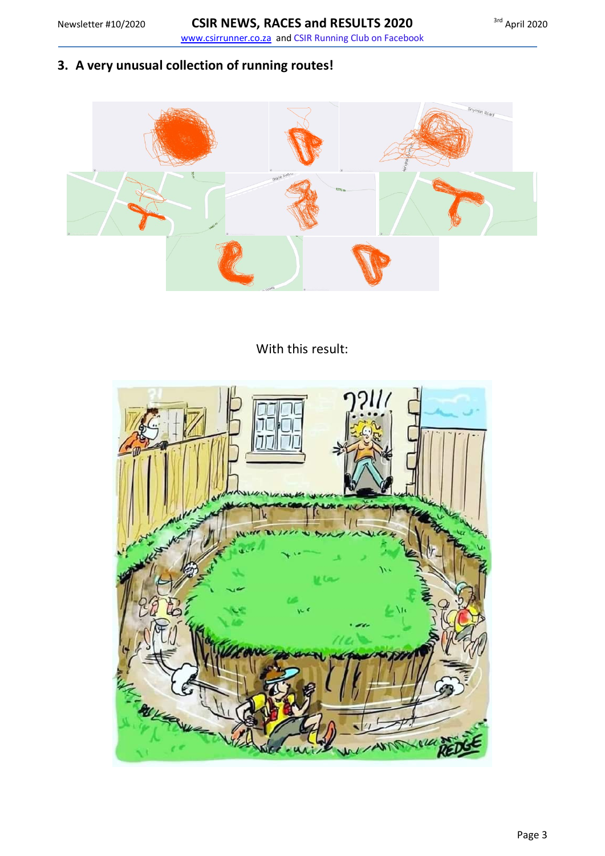**3. A very unusual collection of running routes!**



With this result: